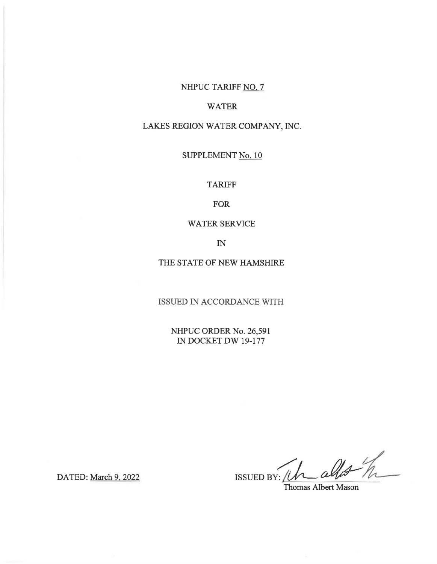# NHPUC TARIFF NO. 7

### WATER

## LAKES REGION WATER COMPANY, INC.

# SUPPLEMENT No. 10

#### TARIFF

#### FOR

### WATER SERVICE

IN

### THE STATE OF NEW HAMSHIRE

ISSUED IN ACCORDANCE WITH

NHPUC ORDER No. 26,591 IN DOCKET DW 19-177

 $I$ ISSUED BY: Uh allot  $h$ 

Thomas Albert Mason

DATED: March 9, 2022